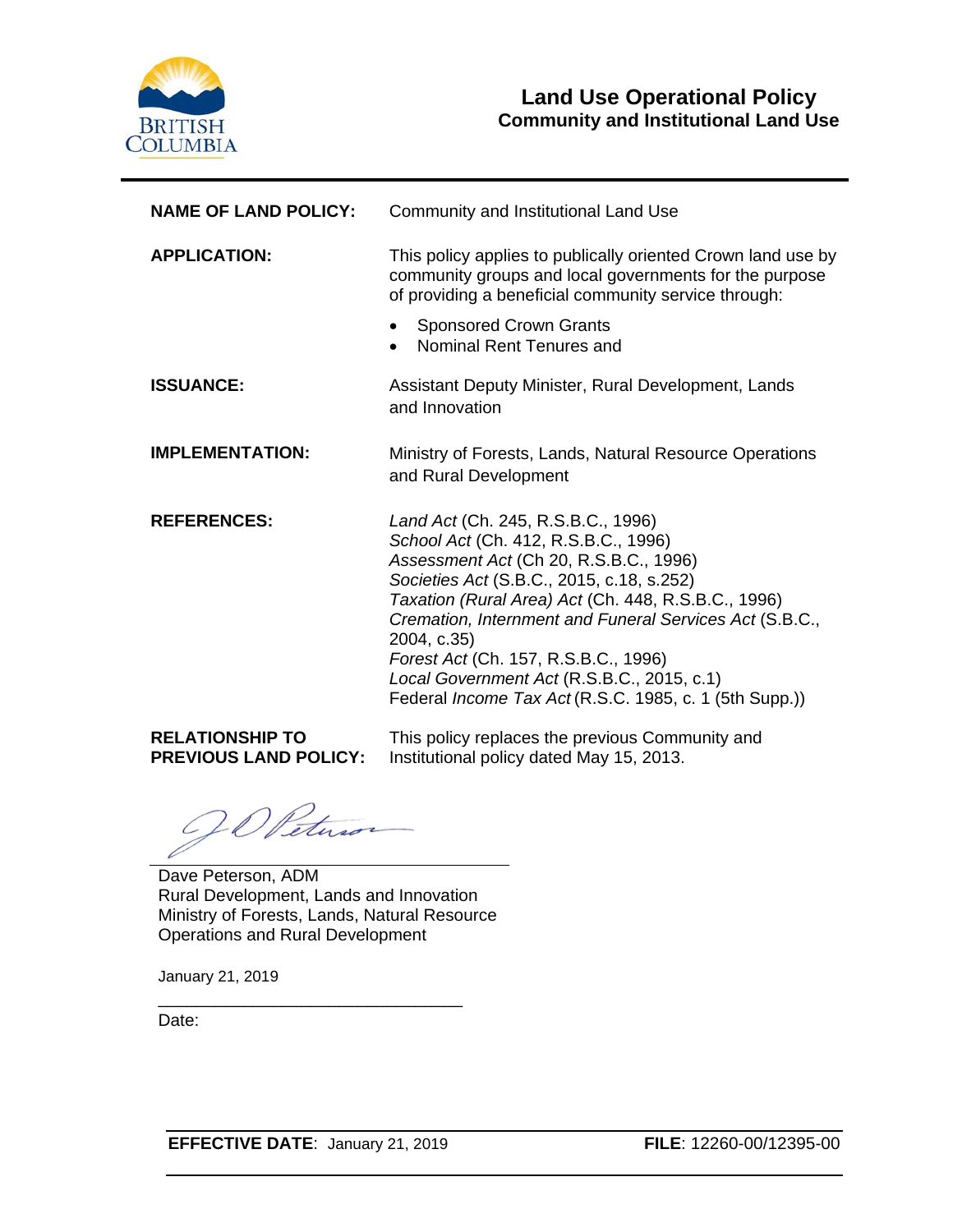

| <b>NAME OF LAND POLICY:</b> | Community and Institutional Land Use                                                                                                                                                                                                                                                                                                                                                                                                               |  |
|-----------------------------|----------------------------------------------------------------------------------------------------------------------------------------------------------------------------------------------------------------------------------------------------------------------------------------------------------------------------------------------------------------------------------------------------------------------------------------------------|--|
| <b>APPLICATION:</b>         | This policy applies to publically oriented Crown land use by<br>community groups and local governments for the purpose<br>of providing a beneficial community service through:                                                                                                                                                                                                                                                                     |  |
|                             | <b>Sponsored Crown Grants</b><br>Nominal Rent Tenures and<br>$\bullet$                                                                                                                                                                                                                                                                                                                                                                             |  |
| <b>ISSUANCE:</b>            | Assistant Deputy Minister, Rural Development, Lands<br>and Innovation                                                                                                                                                                                                                                                                                                                                                                              |  |
| <b>IMPLEMENTATION:</b>      | Ministry of Forests, Lands, Natural Resource Operations<br>and Rural Development                                                                                                                                                                                                                                                                                                                                                                   |  |
| <b>REFERENCES:</b>          | Land Act (Ch. 245, R.S.B.C., 1996)<br>School Act (Ch. 412, R.S.B.C., 1996)<br>Assessment Act (Ch 20, R.S.B.C., 1996)<br>Societies Act (S.B.C., 2015, c.18, s.252)<br>Taxation (Rural Area) Act (Ch. 448, R.S.B.C., 1996)<br>Cremation, Internment and Funeral Services Act (S.B.C.,<br>2004, c.35)<br>Forest Act (Ch. 157, R.S.B.C., 1996)<br>Local Government Act (R.S.B.C., 2015, c.1)<br>Federal Income Tax Act (R.S.C. 1985, c. 1 (5th Supp.)) |  |
| DEL ATIONSLIID TO           | This policy replaces the provisue Community and                                                                                                                                                                                                                                                                                                                                                                                                    |  |

**RELATIONSHIP TO** 

**PREVIOUS LAND POLICY:**  Institutional policy dated May 15, 2013. This policy replaces the previous Community and

Dave Peterson, ADM Rural Development, Lands and Innovation Ministry of Forests, Lands, Natural Resource Operations and Rural Development

January 21, 2019

Date:

\_\_\_\_\_\_\_\_\_\_\_\_\_\_\_\_\_\_\_\_\_\_\_\_\_\_\_\_\_\_\_\_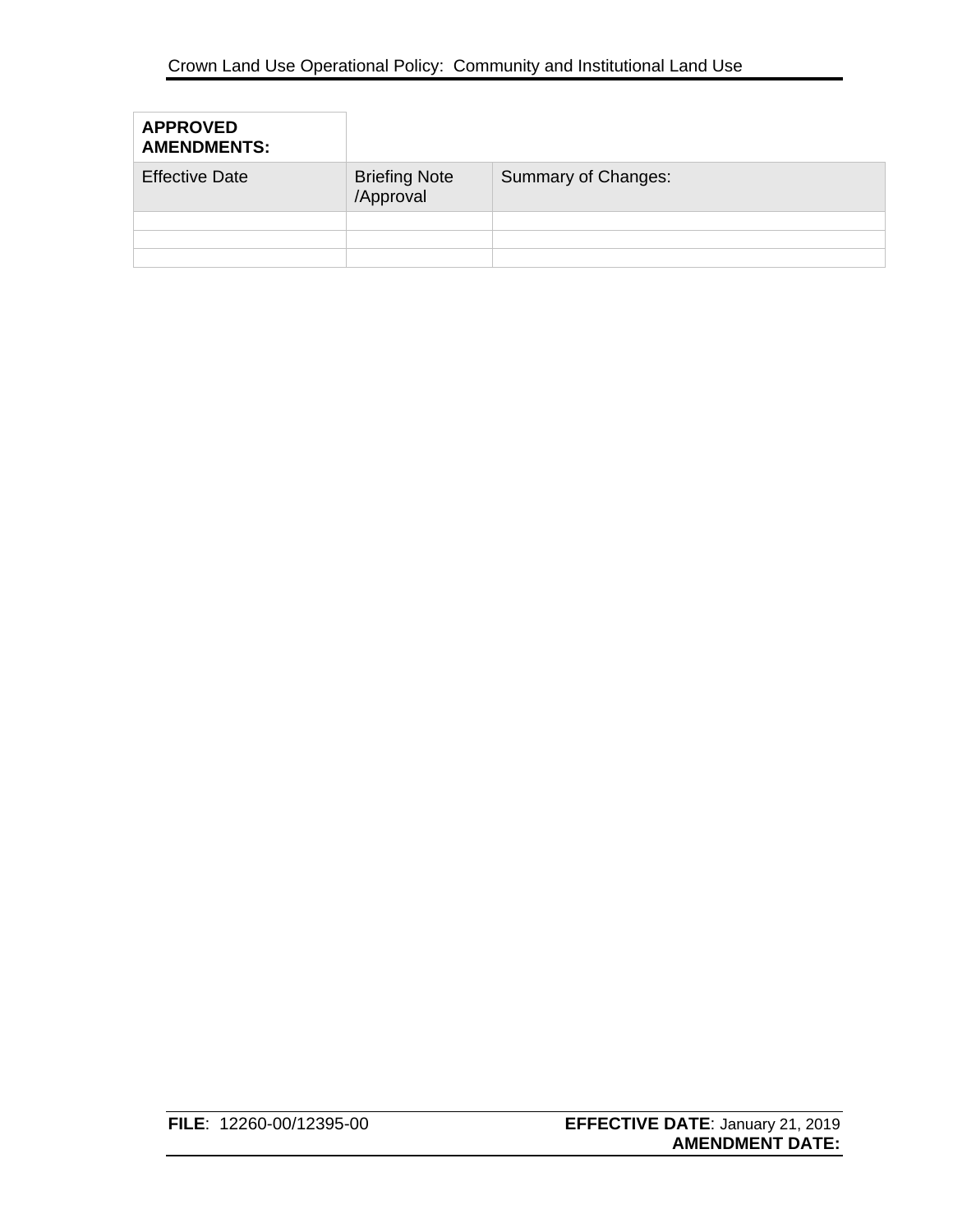| <b>APPROVED</b><br><b>AMENDMENTS:</b> |                                   |                     |
|---------------------------------------|-----------------------------------|---------------------|
| <b>Effective Date</b>                 | <b>Briefing Note</b><br>/Approval | Summary of Changes: |
|                                       |                                   |                     |
|                                       |                                   |                     |
|                                       |                                   |                     |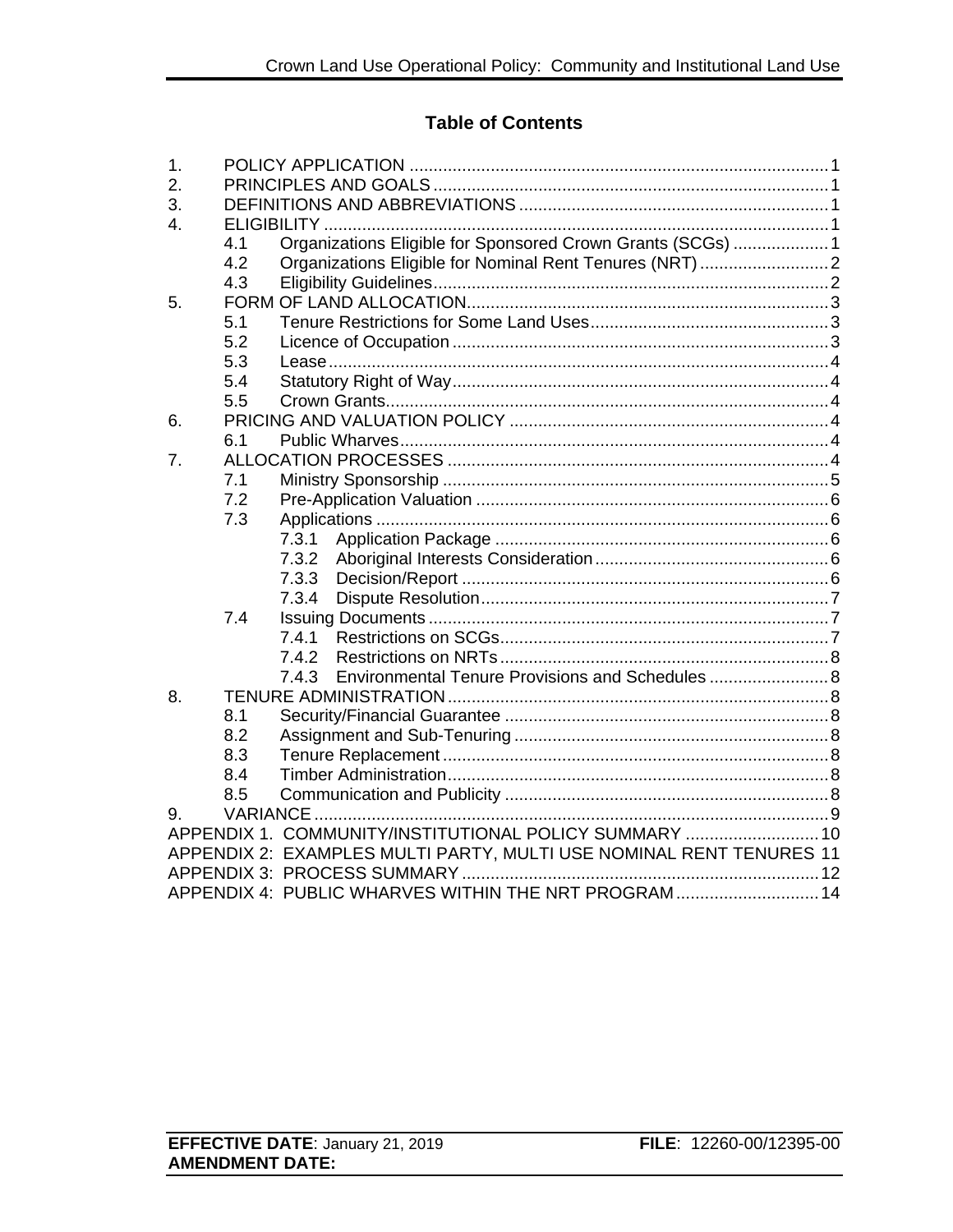### **Table of Contents**

| 1.             |     |                                                                     |  |
|----------------|-----|---------------------------------------------------------------------|--|
| 2.             |     |                                                                     |  |
| 3.             |     |                                                                     |  |
| $\mathbf{4}$ . |     |                                                                     |  |
|                | 4.1 | Organizations Eligible for Sponsored Crown Grants (SCGs)  1         |  |
|                | 4.2 | Organizations Eligible for Nominal Rent Tenures (NRT)  2            |  |
|                | 4.3 |                                                                     |  |
| 5.             |     |                                                                     |  |
|                | 5.1 |                                                                     |  |
|                | 5.2 |                                                                     |  |
|                | 5.3 |                                                                     |  |
|                | 5.4 |                                                                     |  |
|                | 5.5 |                                                                     |  |
| 6.             |     |                                                                     |  |
|                | 6.1 |                                                                     |  |
| 7.             |     |                                                                     |  |
|                | 7.1 |                                                                     |  |
|                | 7.2 |                                                                     |  |
|                | 7.3 |                                                                     |  |
|                |     | 7.3.1                                                               |  |
|                |     | 7.3.2                                                               |  |
|                |     | 7.3.3                                                               |  |
|                |     | 7.3.4                                                               |  |
|                | 7.4 |                                                                     |  |
|                |     | 7.4.1                                                               |  |
|                |     | 7.4.2                                                               |  |
|                |     | Environmental Tenure Provisions and Schedules  8<br>7.4.3           |  |
| 8.             |     |                                                                     |  |
|                | 8.1 |                                                                     |  |
|                | 8.2 |                                                                     |  |
|                | 8.3 |                                                                     |  |
|                | 8.4 |                                                                     |  |
|                | 8.5 |                                                                     |  |
| 9.             |     |                                                                     |  |
|                |     | APPENDIX 1. COMMUNITY/INSTITUTIONAL POLICY SUMMARY  10              |  |
|                |     | APPENDIX 2: EXAMPLES MULTI PARTY, MULTI USE NOMINAL RENT TENURES 11 |  |
|                |     |                                                                     |  |
|                |     | APPENDIX 4: PUBLIC WHARVES WITHIN THE NRT PROGRAM 14                |  |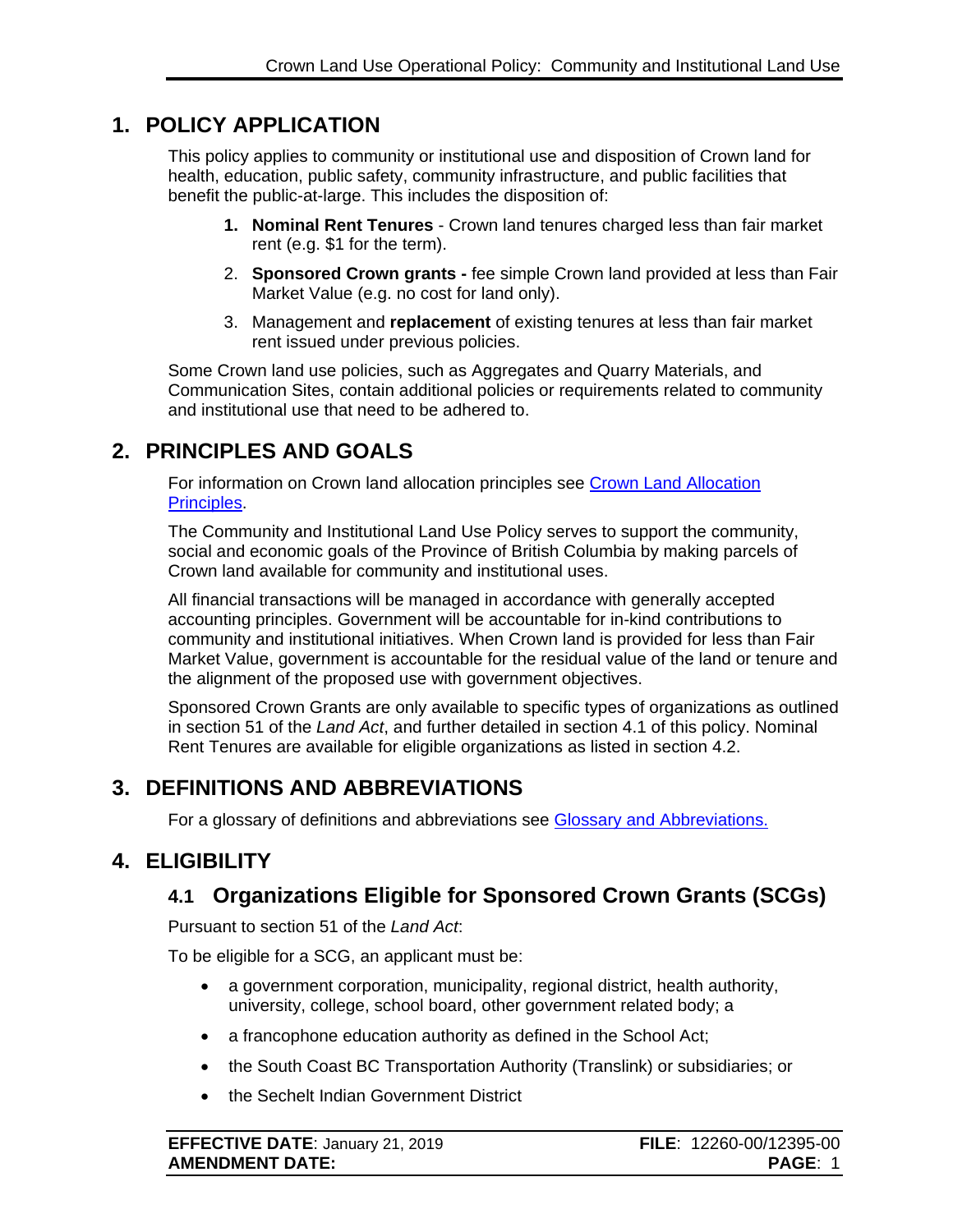# <span id="page-3-0"></span>**1. POLICY APPLICATION**

This policy applies to community or institutional use and disposition of Crown land for health, education, public safety, community infrastructure, and public facilities that benefit the public-at-large. This includes the disposition of:

- **1. Nominal Rent Tenures** Crown land tenures charged less than fair market rent (e.g. \$1 for the term).
- 2. **Sponsored Crown grants -** fee simple Crown land provided at less than Fair Market Value (e.g. no cost for land only).
- 3. Management and **replacement** of existing tenures at less than fair market rent issued under previous policies.

Some Crown land use policies, such as Aggregates and Quarry Materials, and Communication Sites, contain additional policies or requirements related to community and institutional use that need to be adhered to.

# <span id="page-3-1"></span>**2. PRINCIPLES AND GOALS**

For information on Crown land allocation principles see [Crown Land Allocation](https://www2.gov.bc.ca/assets/gov/farming-natural-resources-and-industry/natural-resource-use/land-water-use/crown-land/allocation_principles.pdf)  [Principles.](https://www2.gov.bc.ca/assets/gov/farming-natural-resources-and-industry/natural-resource-use/land-water-use/crown-land/allocation_principles.pdf)

The Community and Institutional Land Use Policy serves to support the community, social and economic goals of the Province of British Columbia by making parcels of Crown land available for community and institutional uses.

All financial transactions will be managed in accordance with generally accepted accounting principles. Government will be accountable for in-kind contributions to community and institutional initiatives. When Crown land is provided for less than Fair Market Value, government is accountable for the residual value of the land or tenure and the alignment of the proposed use with government objectives.

Sponsored Crown Grants are only available to specific types of organizations as outlined in section 51 of the *Land Act*, and further detailed in section 4.1 of this policy. Nominal Rent Tenures are available for eligible organizations as listed in section 4.2.

# <span id="page-3-2"></span>**3. DEFINITIONS AND ABBREVIATIONS**

For a glossary of definitions and abbreviations see [Glossary and Abbreviations.](https://www2.gov.bc.ca/assets/gov/farming-natural-resources-and-industry/natural-resource-use/land-water-use/crown-land/glossary_and_abbreviations.pdf)

# <span id="page-3-3"></span>**4. ELIGIBILITY**

# <span id="page-3-4"></span>**4.1 Organizations Eligible for Sponsored Crown Grants (SCGs)**

Pursuant to section 51 of the *Land Act*:

To be eligible for a SCG, an applicant must be:

- a government corporation, municipality, regional district, health authority, university, college, school board, other government related body; a
- a francophone education authority as defined in the School Act;
- the South Coast BC Transportation Authority (Translink) or subsidiaries; or
- the Sechelt Indian Government District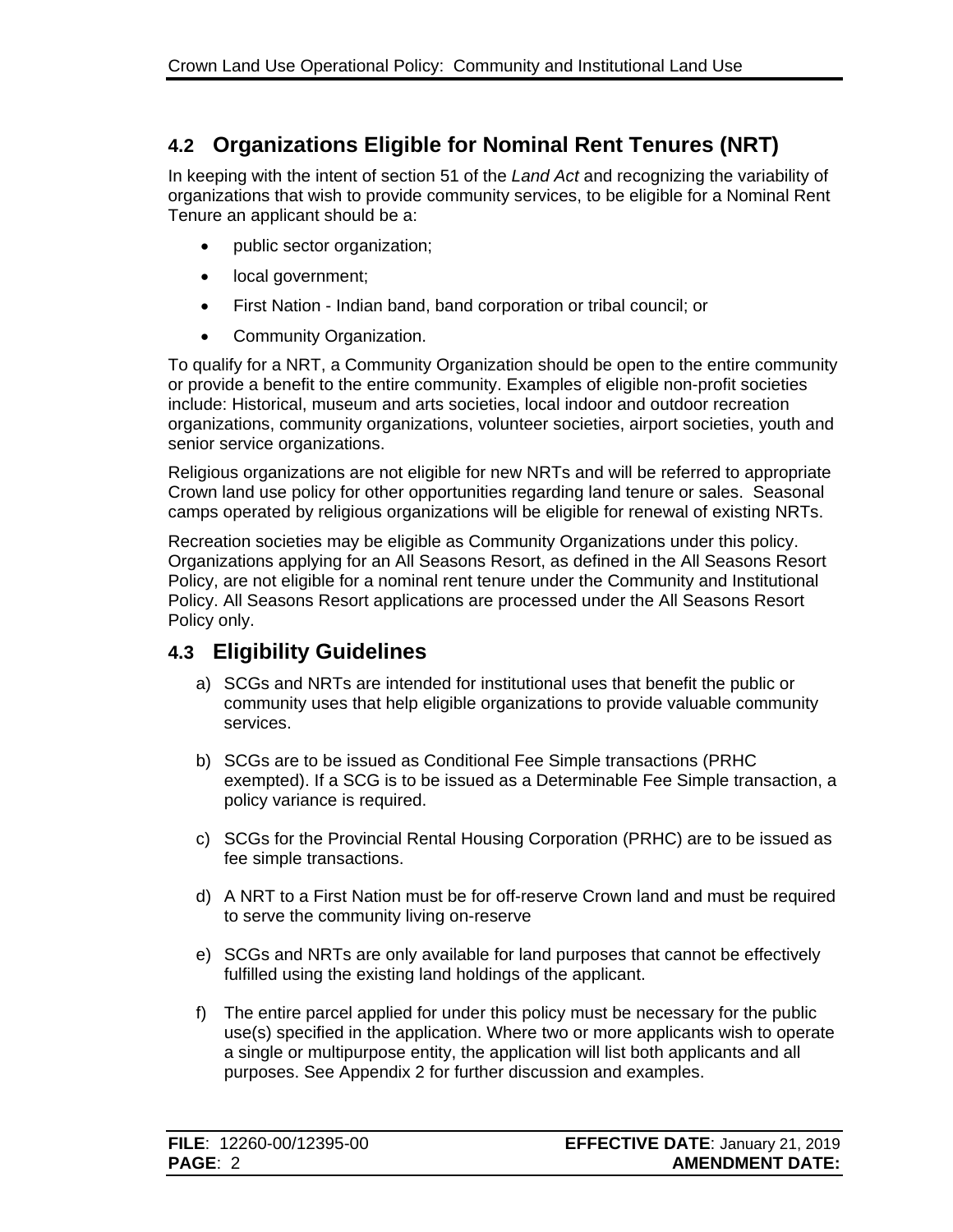# <span id="page-4-0"></span>**4.2 Organizations Eligible for Nominal Rent Tenures (NRT)**

In keeping with the intent of section 51 of the *Land Act* and recognizing the variability of organizations that wish to provide community services, to be eligible for a Nominal Rent Tenure an applicant should be a:

- public sector organization;
- local government;
- First Nation Indian band, band corporation or tribal council; or
- Community Organization.

To qualify for a NRT, a Community Organization should be open to the entire community or provide a benefit to the entire community. Examples of eligible non-profit societies include: Historical, museum and arts societies, local indoor and outdoor recreation organizations, community organizations, volunteer societies, airport societies, youth and senior service organizations.

Religious organizations are not eligible for new NRTs and will be referred to appropriate Crown land use policy for other opportunities regarding land tenure or sales. Seasonal camps operated by religious organizations will be eligible for renewal of existing NRTs.

Recreation societies may be eligible as Community Organizations under this policy. Organizations applying for an All Seasons Resort, as defined in the All Seasons Resort Policy, are not eligible for a nominal rent tenure under the Community and Institutional Policy. All Seasons Resort applications are processed under the All Seasons Resort Policy only.

## <span id="page-4-1"></span>**4.3 Eligibility Guidelines**

- a) SCGs and NRTs are intended for institutional uses that benefit the public or community uses that help eligible organizations to provide valuable community services.
- b) SCGs are to be issued as Conditional Fee Simple transactions (PRHC exempted). If a SCG is to be issued as a Determinable Fee Simple transaction, a policy variance is required.
- c) SCGs for the Provincial Rental Housing Corporation (PRHC) are to be issued as fee simple transactions.
- d) A NRT to a First Nation must be for off-reserve Crown land and must be required to serve the community living on-reserve
- e) SCGs and NRTs are only available for land purposes that cannot be effectively fulfilled using the existing land holdings of the applicant.
- f) The entire parcel applied for under this policy must be necessary for the public use(s) specified in the application. Where two or more applicants wish to operate a single or multipurpose entity, the application will list both applicants and all purposes. See Appendix 2 for further discussion and examples.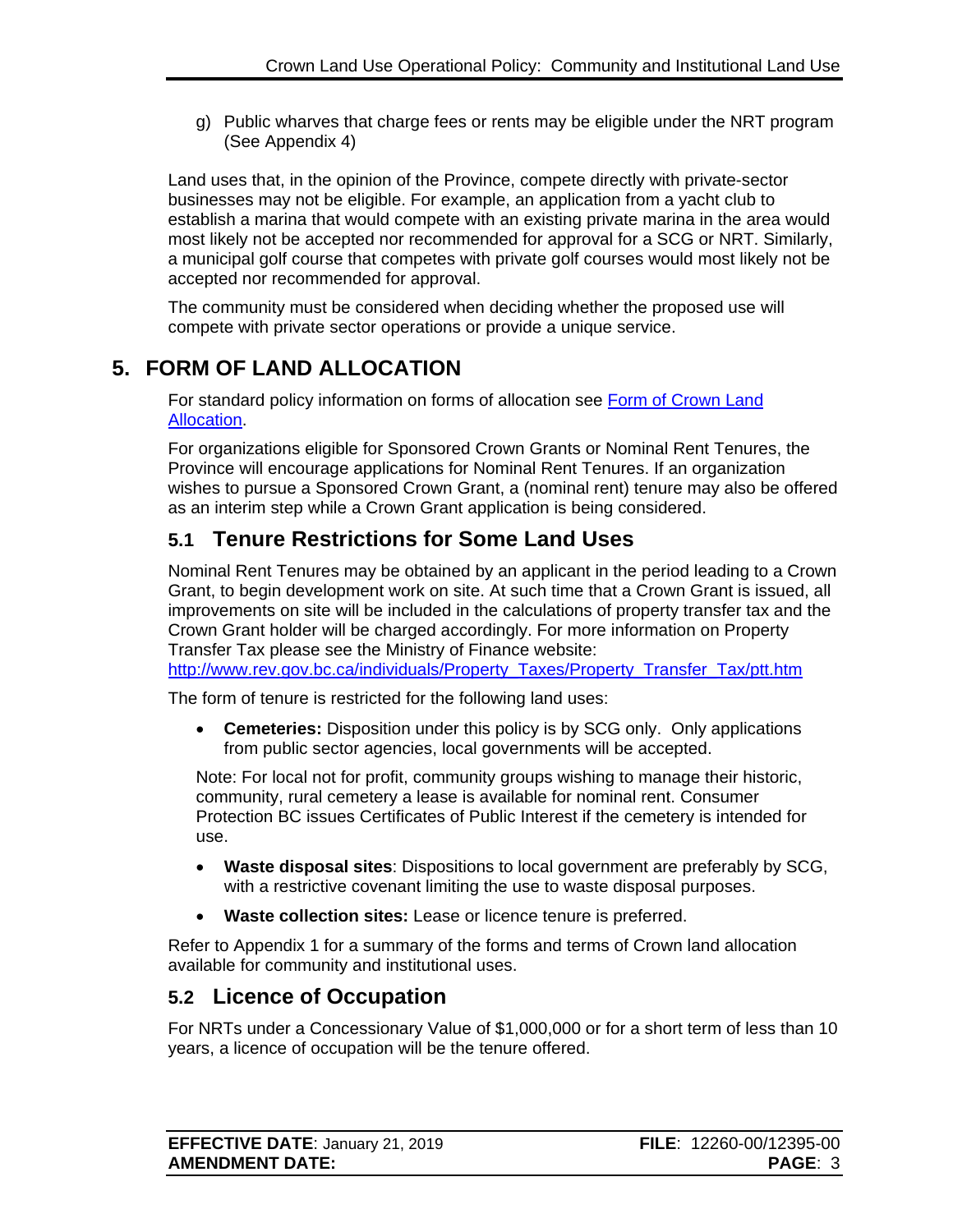g) Public wharves that charge fees or rents may be eligible under the NRT program (See Appendix 4)

Land uses that, in the opinion of the Province, compete directly with private-sector businesses may not be eligible. For example, an application from a yacht club to establish a marina that would compete with an existing private marina in the area would most likely not be accepted nor recommended for approval for a SCG or NRT. Similarly, a municipal golf course that competes with private golf courses would most likely not be accepted nor recommended for approval.

The community must be considered when deciding whether the proposed use will compete with private sector operations or provide a unique service.

# <span id="page-5-0"></span>**5. FORM OF LAND ALLOCATION**

For standard policy information on forms of allocation see Form of Crown Land [Allocation.](http://www2.gov.bc.ca/assets/gov/farming-natural-resources-and-industry/natural-resource-use/land-water-use/crown-land/form_of_allocation.pdf)

For organizations eligible for Sponsored Crown Grants or Nominal Rent Tenures, the Province will encourage applications for Nominal Rent Tenures. If an organization wishes to pursue a Sponsored Crown Grant, a (nominal rent) tenure may also be offered as an interim step while a Crown Grant application is being considered.

## <span id="page-5-1"></span>**5.1 Tenure Restrictions for Some Land Uses**

Nominal Rent Tenures may be obtained by an applicant in the period leading to a Crown Grant, to begin development work on site. At such time that a Crown Grant is issued, all improvements on site will be included in the calculations of property transfer tax and the Crown Grant holder will be charged accordingly. For more information on Property Transfer Tax please see the Ministry of Finance website:

[http://www.rev.gov.bc.ca/individuals/Property\\_Taxes/Property\\_Transfer\\_Tax/ptt.htm](http://www.rev.gov.bc.ca/individuals/Property_Taxes/Property_Transfer_Tax/ptt.htm)

The form of tenure is restricted for the following land uses:

• **Cemeteries:** Disposition under this policy is by SCG only. Only applications from public sector agencies, local governments will be accepted.

Note: For local not for profit, community groups wishing to manage their historic, community, rural cemetery a lease is available for nominal rent. Consumer Protection BC issues Certificates of Public Interest if the cemetery is intended for use.

- **Waste disposal sites**: Dispositions to local government are preferably by SCG, with a restrictive covenant limiting the use to waste disposal purposes.
- **Waste collection sites:** Lease or licence tenure is preferred.

Refer to Appendix 1 for a summary of the forms and terms of Crown land allocation available for community and institutional uses.

### <span id="page-5-2"></span>**5.2 Licence of Occupation**

For NRTs under a Concessionary Value of \$1,000,000 or for a short term of less than 10 years, a licence of occupation will be the tenure offered.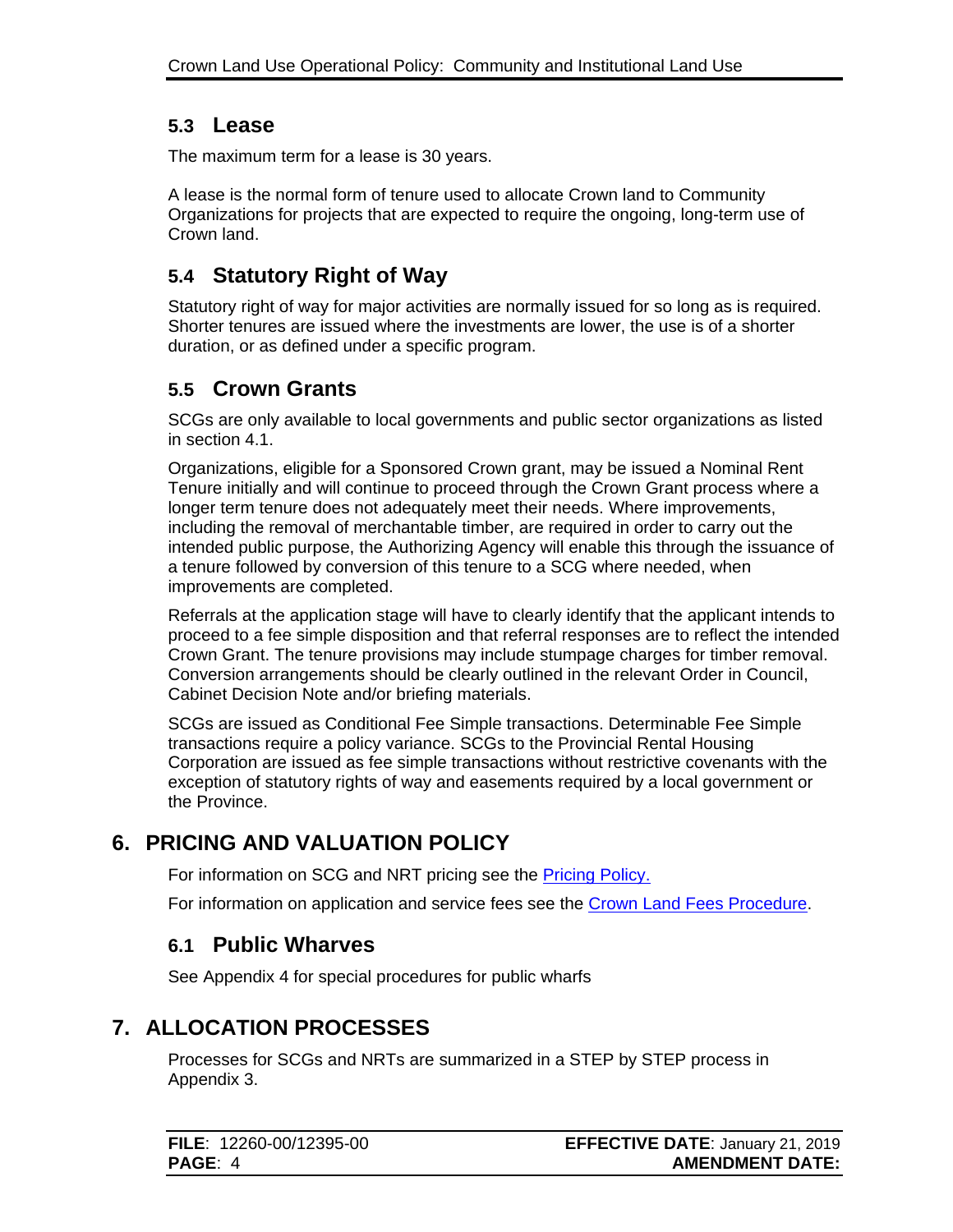### <span id="page-6-0"></span>**5.3 Lease**

The maximum term for a lease is 30 years.

A lease is the normal form of tenure used to allocate Crown land to Community Organizations for projects that are expected to require the ongoing, long-term use of Crown land.

# <span id="page-6-1"></span>**5.4 Statutory Right of Way**

Statutory right of way for major activities are normally issued for so long as is required. Shorter tenures are issued where the investments are lower, the use is of a shorter duration, or as defined under a specific program.

## <span id="page-6-2"></span>**5.5 Crown Grants**

SCGs are only available to local governments and public sector organizations as listed in section 4.1.

Organizations, eligible for a Sponsored Crown grant, may be issued a Nominal Rent Tenure initially and will continue to proceed through the Crown Grant process where a longer term tenure does not adequately meet their needs. Where improvements, including the removal of merchantable timber, are required in order to carry out the intended public purpose, the Authorizing Agency will enable this through the issuance of a tenure followed by conversion of this tenure to a SCG where needed, when improvements are completed.

Referrals at the application stage will have to clearly identify that the applicant intends to proceed to a fee simple disposition and that referral responses are to reflect the intended Crown Grant. The tenure provisions may include stumpage charges for timber removal. Conversion arrangements should be clearly outlined in the relevant Order in Council, Cabinet Decision Note and/or briefing materials.

SCGs are issued as Conditional Fee Simple transactions. Determinable Fee Simple transactions require a policy variance. SCGs to the Provincial Rental Housing Corporation are issued as fee simple transactions without restrictive covenants with the exception of statutory rights of way and easements required by a local government or the Province.

# <span id="page-6-3"></span>**6. PRICING AND VALUATION POLICY**

For information on SCG and NRT pricing see the [Pricing Policy.](https://www2.gov.bc.ca/assets/gov/farming-natural-resources-and-industry/natural-resource-use/land-water-use/crown-land/pricing.pdf)

For information on application and service fees see the [Crown Land Fees Procedure.](https://www2.gov.bc.ca/assets/gov/farming-natural-resources-and-industry/natural-resource-use/land-water-use/crown-land/fees.pdf)

### <span id="page-6-4"></span>**6.1 Public Wharves**

See Appendix 4 for special procedures for public wharfs

# <span id="page-6-5"></span>**7. ALLOCATION PROCESSES**

Processes for SCGs and NRTs are summarized in a STEP by STEP process in Appendix 3.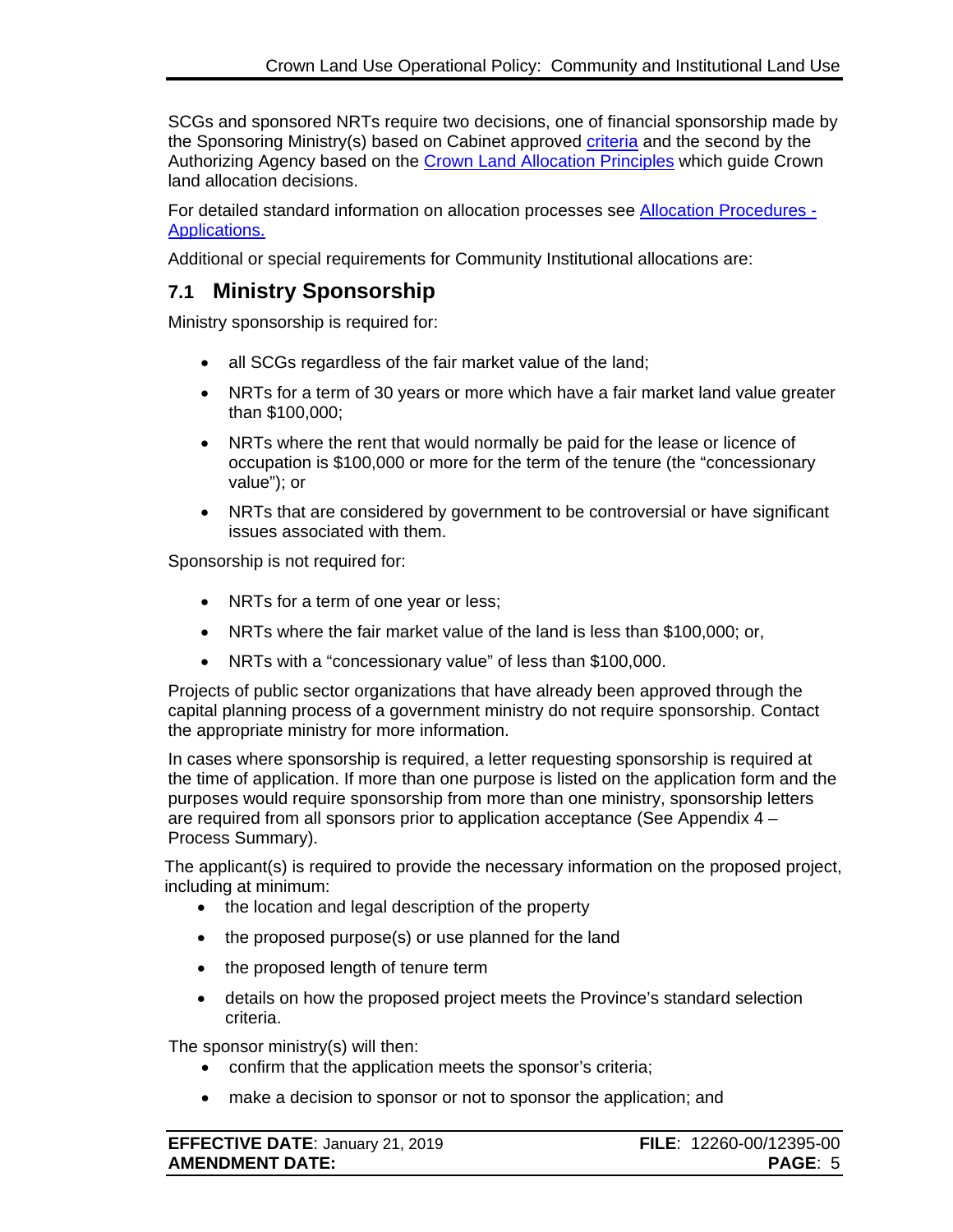SCGs and sponsored NRTs require two decisions, one of financial sponsorship made by the Sponsoring Ministry(s) based on Cabinet approved [criteria](https://www2.gov.bc.ca/gov/content?id=78207FD3F1F54BE28D047F04EA3E90CC) and the second by the Authorizing Agency based on the [Crown Land Allocation Principles](http://www2.gov.bc.ca/assets/gov/farming-natural-resources-and-industry/natural-resource-use/land-water-use/crown-land/allocation_principles.pdf) which guide Crown land allocation decisions.

For detailed standard information on allocation processes see [Allocation Procedures -](https://www2.gov.bc.ca/assets/gov/farming-natural-resources-and-industry/natural-resource-use/land-water-use/crown-land/ap_applications.pdf) [Applications.](https://www2.gov.bc.ca/assets/gov/farming-natural-resources-and-industry/natural-resource-use/land-water-use/crown-land/ap_applications.pdf)

Additional or special requirements for Community Institutional allocations are:

### <span id="page-7-0"></span>**7.1 Ministry Sponsorship**

Ministry sponsorship is required for:

- all SCGs regardless of the fair market value of the land;
- NRTs for a term of 30 years or more which have a fair market land value greater than \$100,000;
- NRTs where the rent that would normally be paid for the lease or licence of occupation is \$100,000 or more for the term of the tenure (the "concessionary value"); or
- NRTs that are considered by government to be controversial or have significant issues associated with them.

Sponsorship is not required for:

- NRTs for a term of one year or less;
- NRTs where the fair market value of the land is less than \$100,000; or,
- NRTs with a "concessionary value" of less than \$100,000.

Projects of public sector organizations that have already been approved through the capital planning process of a government ministry do not require sponsorship. Contact the appropriate ministry for more information.

In cases where sponsorship is required, a letter requesting sponsorship is required at the time of application. If more than one purpose is listed on the application form and the purposes would require sponsorship from more than one ministry, sponsorship letters are required from all sponsors prior to application acceptance (See Appendix 4 – Process Summary).

The applicant(s) is required to provide the necessary information on the proposed project, including at minimum:

- the location and legal description of the property
- the proposed purpose(s) or use planned for the land
- the proposed length of tenure term
- details on how the proposed project meets the Province's standard selection criteria.

The sponsor ministry(s) will then:

- confirm that the application meets the sponsor's criteria;
- make a decision to sponsor or not to sponsor the application; and

| <b>EFFECTIVE DATE: January 21, 2019</b> | FILE: 12260-00/12395-00 |
|-----------------------------------------|-------------------------|
| <b>AMENDMENT DATE:</b>                  | <b>PAGE: 5</b>          |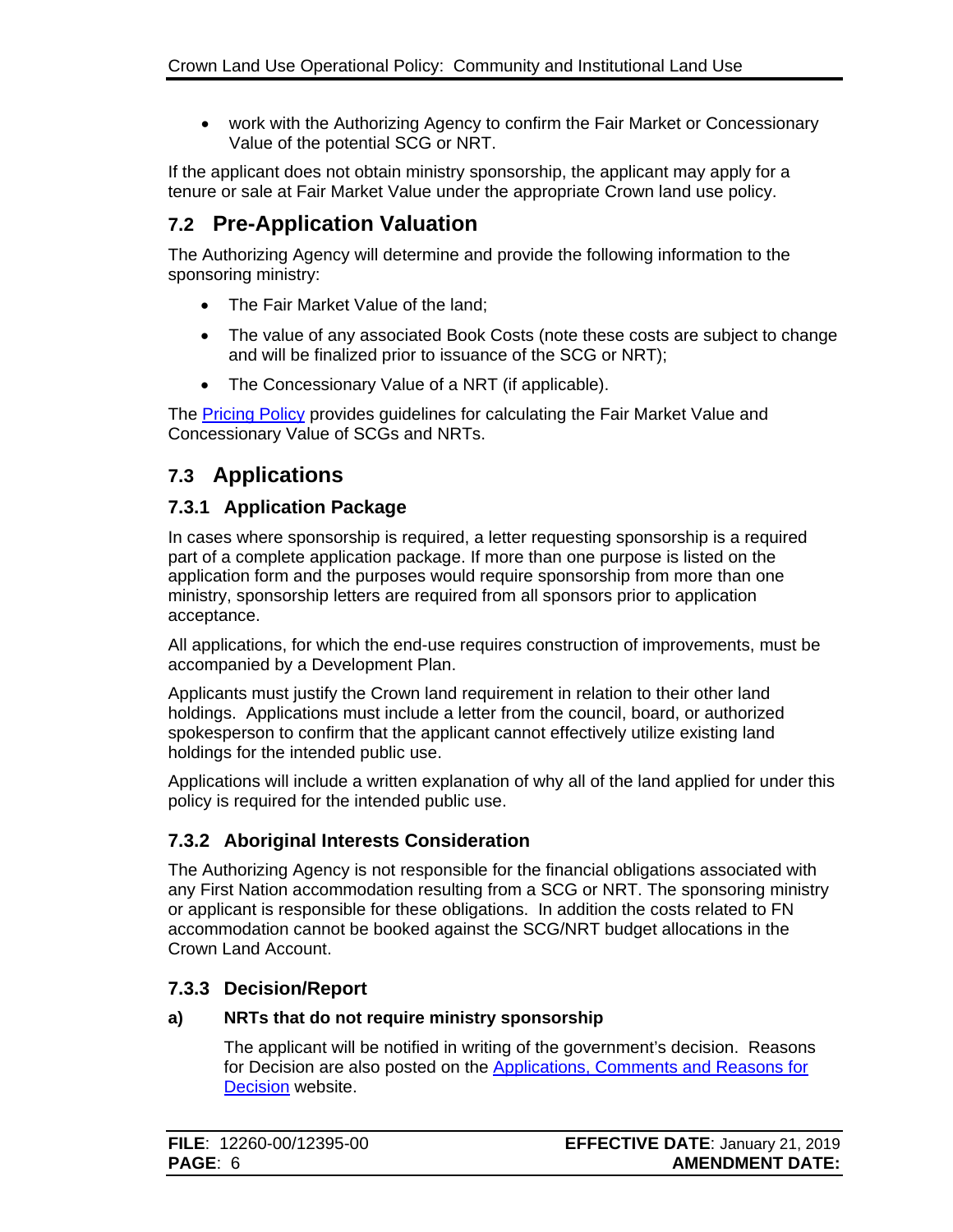• work with the Authorizing Agency to confirm the Fair Market or Concessionary Value of the potential SCG or NRT.

If the applicant does not obtain ministry sponsorship, the applicant may apply for a tenure or sale at Fair Market Value under the appropriate Crown land use policy.

### <span id="page-8-0"></span>**7.2 Pre-Application Valuation**

The Authorizing Agency will determine and provide the following information to the sponsoring ministry:

- The Fair Market Value of the land;
- The value of any associated Book Costs (note these costs are subject to change and will be finalized prior to issuance of the SCG or NRT);
- The Concessionary Value of a NRT (if applicable).

The [Pricing Policy](https://www2.gov.bc.ca/assets/gov/farming-natural-resources-and-industry/natural-resource-use/land-water-use/crown-land/pricing.pdf) provides guidelines for calculating the Fair Market Value and Concessionary Value of SCGs and NRTs.

## <span id="page-8-1"></span>**7.3 Applications**

#### <span id="page-8-2"></span>**7.3.1 Application Package**

In cases where sponsorship is required, a letter requesting sponsorship is a required part of a complete application package. If more than one purpose is listed on the application form and the purposes would require sponsorship from more than one ministry, sponsorship letters are required from all sponsors prior to application acceptance.

All applications, for which the end-use requires construction of improvements, must be accompanied by a Development Plan.

Applicants must justify the Crown land requirement in relation to their other land holdings. Applications must include a letter from the council, board, or authorized spokesperson to confirm that the applicant cannot effectively utilize existing land holdings for the intended public use.

Applications will include a written explanation of why all of the land applied for under this policy is required for the intended public use.

### <span id="page-8-3"></span>**7.3.2 Aboriginal Interests Consideration**

The Authorizing Agency is not responsible for the financial obligations associated with any First Nation accommodation resulting from a SCG or NRT. The sponsoring ministry or applicant is responsible for these obligations. In addition the costs related to FN accommodation cannot be booked against the SCG/NRT budget allocations in the Crown Land Account.

### <span id="page-8-4"></span>**7.3.3 Decision/Report**

#### **a) NRTs that do not require ministry sponsorship**

The applicant will be notified in writing of the government's decision. Reasons for Decision are also posted on the [Applications, Comments and Reasons for](https://comment.nrs.gov.bc.ca/) **[Decision](https://comment.nrs.gov.bc.ca/)** website.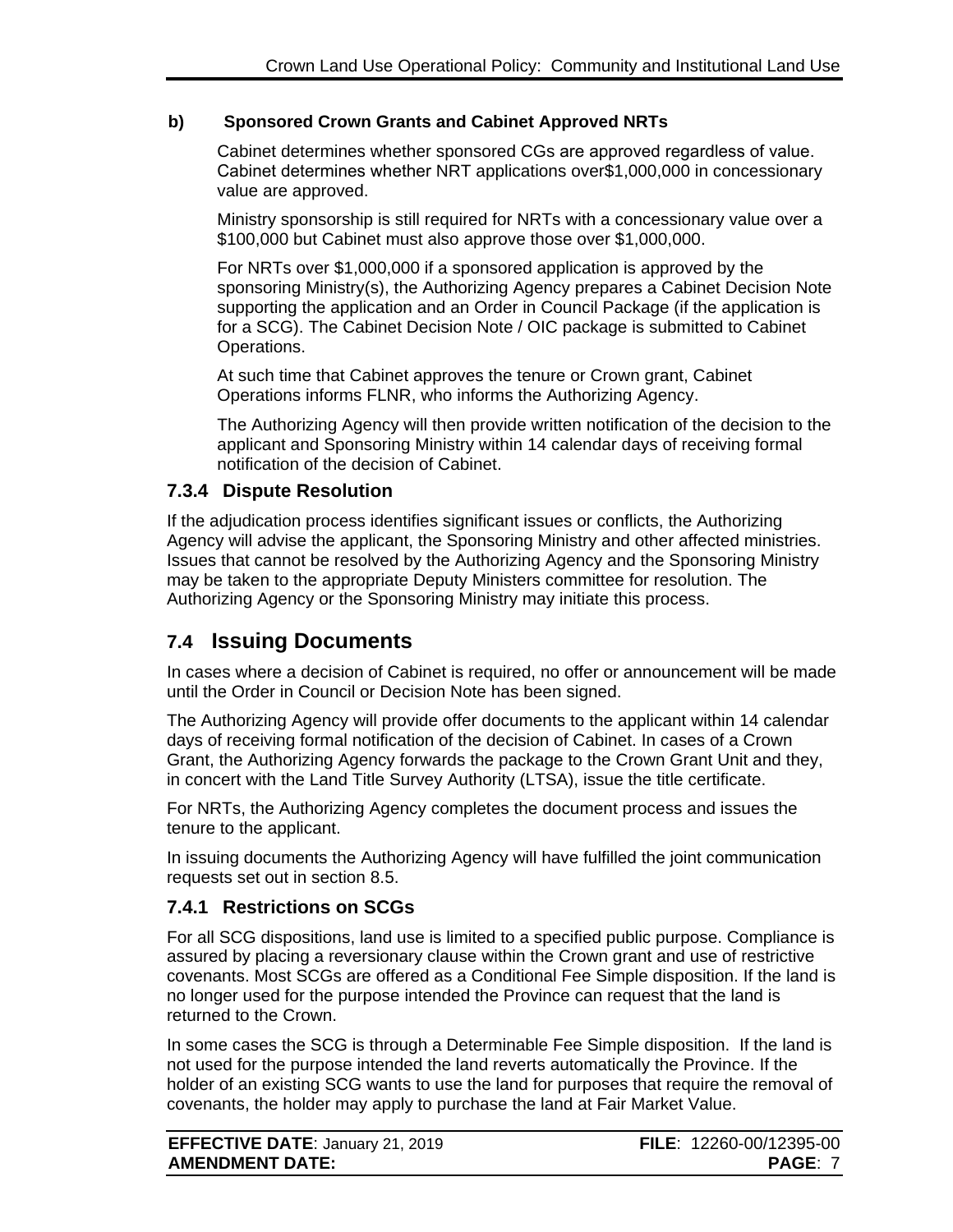#### **b) Sponsored Crown Grants and Cabinet Approved NRTs**

Cabinet determines whether sponsored CGs are approved regardless of value. Cabinet determines whether NRT applications over\$1,000,000 in concessionary value are approved.

Ministry sponsorship is still required for NRTs with a concessionary value over a \$100,000 but Cabinet must also approve those over \$1,000,000.

For NRTs over \$1,000,000 if a sponsored application is approved by the sponsoring Ministry(s), the Authorizing Agency prepares a Cabinet Decision Note supporting the application and an Order in Council Package (if the application is for a SCG). The Cabinet Decision Note / OIC package is submitted to Cabinet Operations.

At such time that Cabinet approves the tenure or Crown grant, Cabinet Operations informs FLNR, who informs the Authorizing Agency.

The Authorizing Agency will then provide written notification of the decision to the applicant and Sponsoring Ministry within 14 calendar days of receiving formal notification of the decision of Cabinet.

#### <span id="page-9-0"></span>**7.3.4 Dispute Resolution**

If the adjudication process identifies significant issues or conflicts, the Authorizing Agency will advise the applicant, the Sponsoring Ministry and other affected ministries. Issues that cannot be resolved by the Authorizing Agency and the Sponsoring Ministry may be taken to the appropriate Deputy Ministers committee for resolution. The Authorizing Agency or the Sponsoring Ministry may initiate this process.

### <span id="page-9-1"></span>**7.4 Issuing Documents**

In cases where a decision of Cabinet is required, no offer or announcement will be made until the Order in Council or Decision Note has been signed.

The Authorizing Agency will provide offer documents to the applicant within 14 calendar days of receiving formal notification of the decision of Cabinet. In cases of a Crown Grant, the Authorizing Agency forwards the package to the Crown Grant Unit and they, in concert with the Land Title Survey Authority (LTSA), issue the title certificate.

For NRTs, the Authorizing Agency completes the document process and issues the tenure to the applicant.

In issuing documents the Authorizing Agency will have fulfilled the joint communication requests set out in section 8.5.

#### <span id="page-9-2"></span>**7.4.1 Restrictions on SCGs**

For all SCG dispositions, land use is limited to a specified public purpose. Compliance is assured by placing a reversionary clause within the Crown grant and use of restrictive covenants. Most SCGs are offered as a Conditional Fee Simple disposition. If the land is no longer used for the purpose intended the Province can request that the land is returned to the Crown.

In some cases the SCG is through a Determinable Fee Simple disposition. If the land is not used for the purpose intended the land reverts automatically the Province. If the holder of an existing SCG wants to use the land for purposes that require the removal of covenants, the holder may apply to purchase the land at Fair Market Value.

| <b>EFFECTIVE DATE: January 21, 2019</b> | FILE: 12260-00/12395-00 |
|-----------------------------------------|-------------------------|
| <b>AMENDMENT DATE:</b>                  | <b>PAGE: 7</b>          |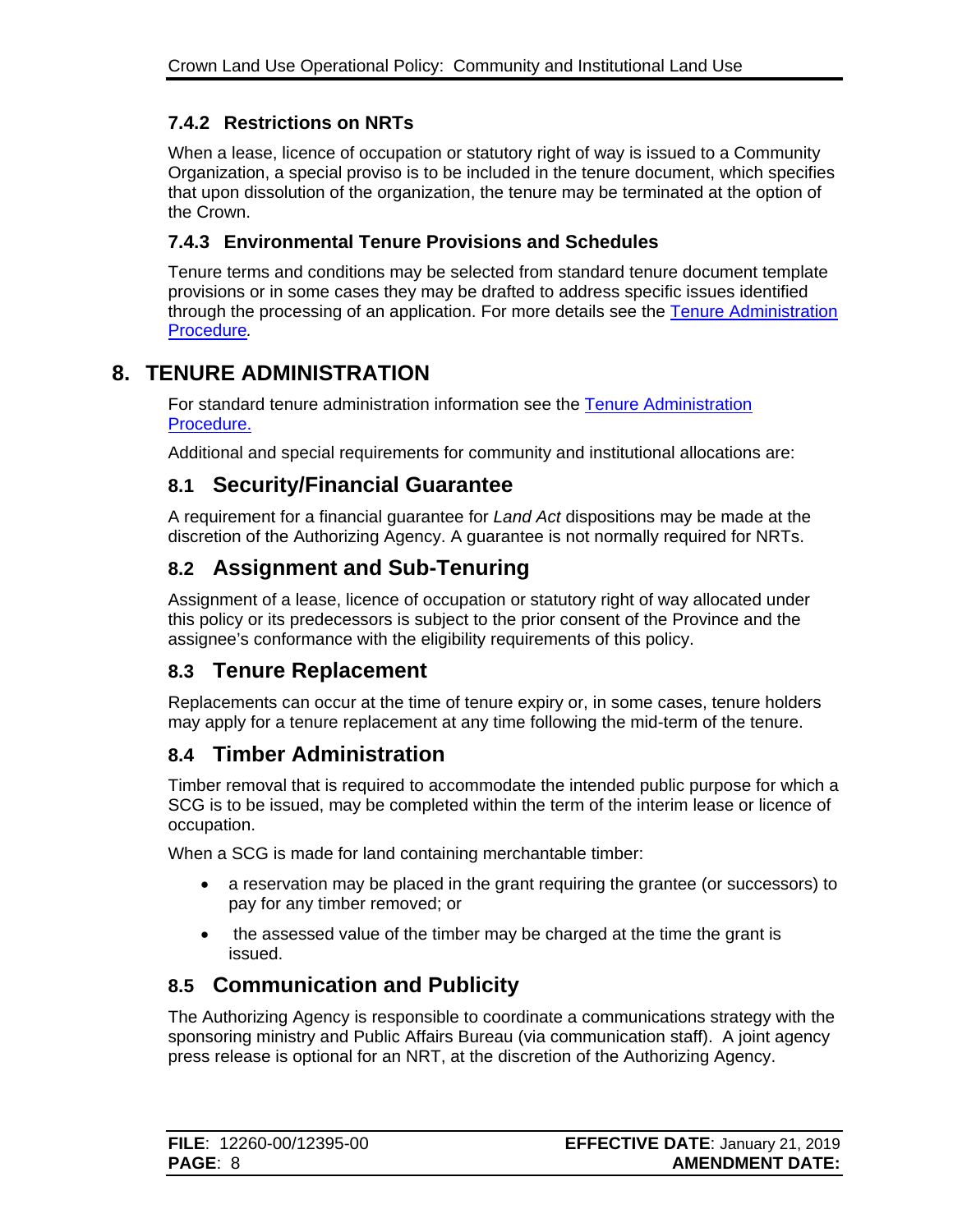### <span id="page-10-0"></span>**7.4.2 Restrictions on NRTs**

When a lease, licence of occupation or statutory right of way is issued to a Community Organization, a special proviso is to be included in the tenure document, which specifies that upon dissolution of the organization, the tenure may be terminated at the option of the Crown.

### <span id="page-10-1"></span>**7.4.3 Environmental Tenure Provisions and Schedules**

Tenure terms and conditions may be selected from standard tenure document template provisions or in some cases they may be drafted to address specific issues identified through the processing of an application. For more details see the [Tenure Administration](https://www2.gov.bc.ca/assets/gov/farming-natural-resources-and-industry/natural-resource-use/land-water-use/crown-land/ta_general.pdf)  [Procedure](https://www2.gov.bc.ca/assets/gov/farming-natural-resources-and-industry/natural-resource-use/land-water-use/crown-land/ta_general.pdf)*.*

# <span id="page-10-2"></span>**8. TENURE ADMINISTRATION**

For standard tenure administration information see the [Tenure Administration](https://www2.gov.bc.ca/assets/gov/farming-natural-resources-and-industry/natural-resource-use/land-water-use/crown-land/ta_general.pdf)  [Procedure.](https://www2.gov.bc.ca/assets/gov/farming-natural-resources-and-industry/natural-resource-use/land-water-use/crown-land/ta_general.pdf)

Additional and special requirements for community and institutional allocations are:

### <span id="page-10-3"></span>**8.1 Security/Financial Guarantee**

A requirement for a financial guarantee for *Land Act* dispositions may be made at the discretion of the Authorizing Agency. A guarantee is not normally required for NRTs.

# <span id="page-10-4"></span>**8.2 Assignment and Sub-Tenuring**

Assignment of a lease, licence of occupation or statutory right of way allocated under this policy or its predecessors is subject to the prior consent of the Province and the assignee's conformance with the eligibility requirements of this policy.

### <span id="page-10-5"></span>**8.3 Tenure Replacement**

Replacements can occur at the time of tenure expiry or, in some cases, tenure holders may apply for a tenure replacement at any time following the mid-term of the tenure.

## <span id="page-10-6"></span>**8.4 Timber Administration**

Timber removal that is required to accommodate the intended public purpose for which a SCG is to be issued, may be completed within the term of the interim lease or licence of occupation.

When a SCG is made for land containing merchantable timber:

- a reservation may be placed in the grant requiring the grantee (or successors) to pay for any timber removed; or
- the assessed value of the timber may be charged at the time the grant is issued.

## <span id="page-10-7"></span>**8.5 Communication and Publicity**

The Authorizing Agency is responsible to coordinate a communications strategy with the sponsoring ministry and Public Affairs Bureau (via communication staff). A joint agency press release is optional for an NRT, at the discretion of the Authorizing Agency.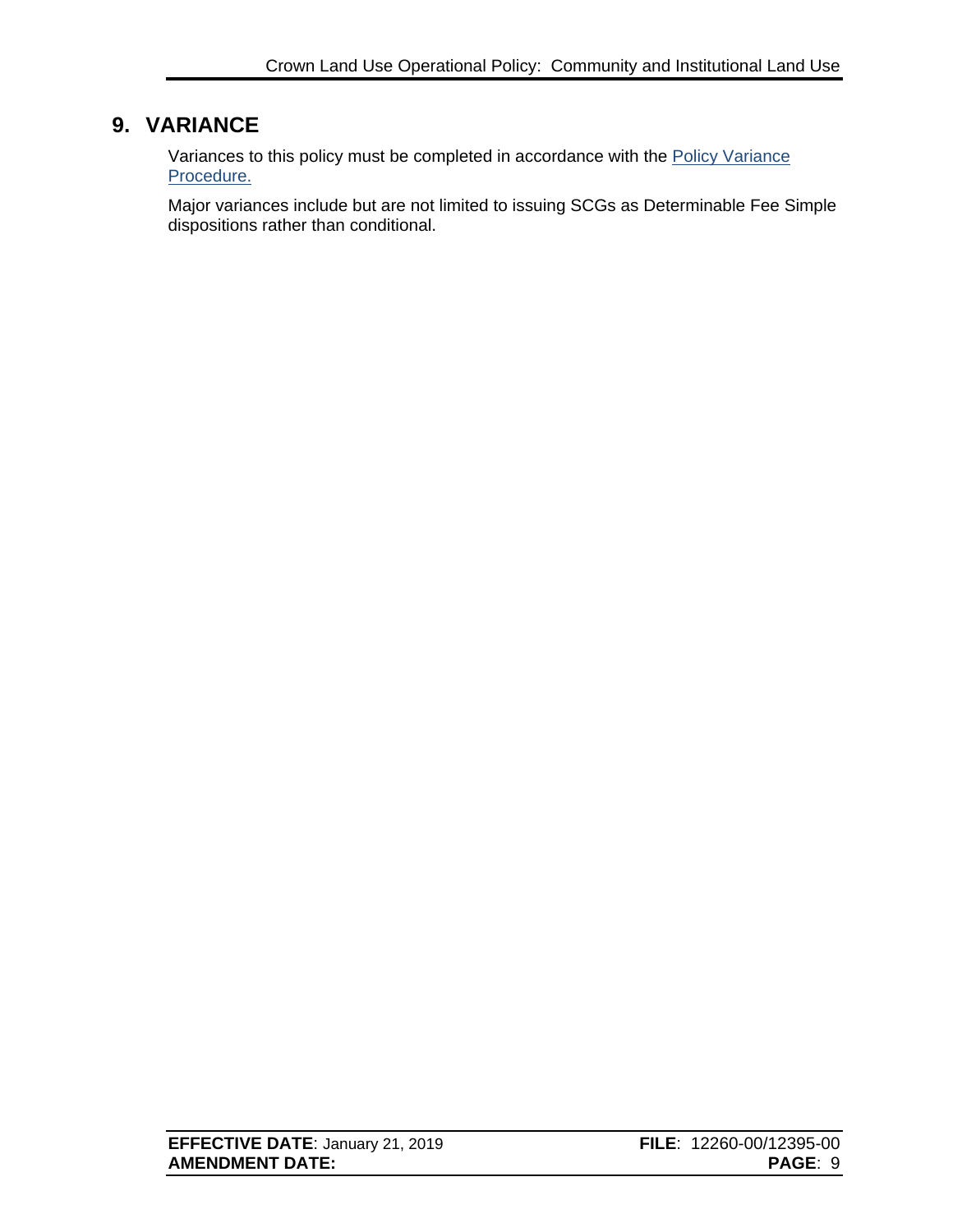## <span id="page-11-0"></span>**9. VARIANCE**

Variances to this policy must be completed in accordance with the [Policy Variance](http://www2.gov.bc.ca/assets/gov/farming-natural-resources-and-industry/natural-resource-use/land-water-use/crown-land/variance.pdf)  [Procedure.](http://www2.gov.bc.ca/assets/gov/farming-natural-resources-and-industry/natural-resource-use/land-water-use/crown-land/variance.pdf)

Major variances include but are not limited to issuing SCGs as Determinable Fee Simple dispositions rather than conditional.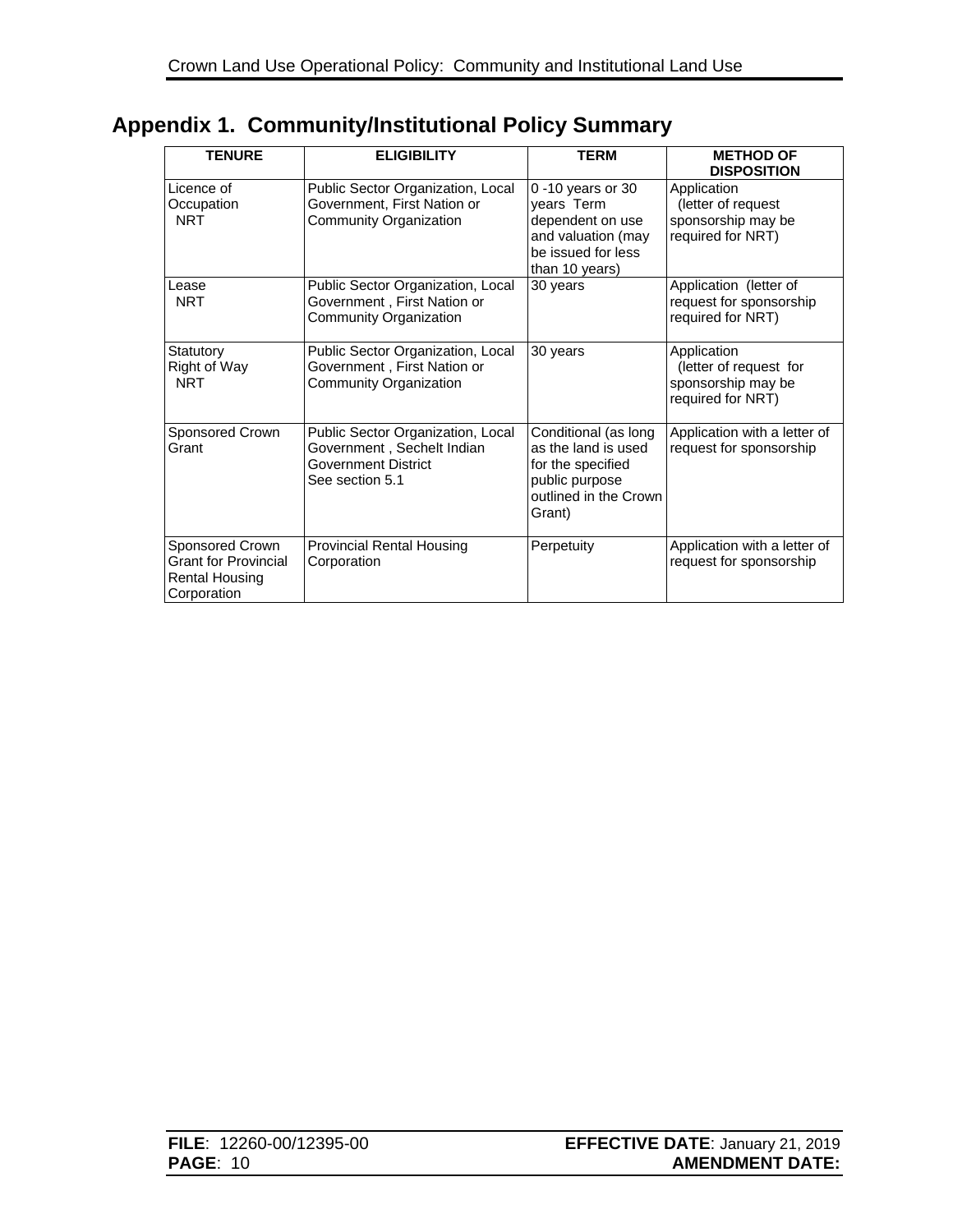<span id="page-12-0"></span>

|  | <b>Appendix 1. Community/Institutional Policy Summary</b> |  |
|--|-----------------------------------------------------------|--|
|--|-----------------------------------------------------------|--|

| <b>TENURE</b>                                                                          | <b>ELIGIBILITY</b>                                                                                               | <b>TERM</b>                                                                                                           | <b>METHOD OF</b><br><b>DISPOSITION</b>                                           |
|----------------------------------------------------------------------------------------|------------------------------------------------------------------------------------------------------------------|-----------------------------------------------------------------------------------------------------------------------|----------------------------------------------------------------------------------|
| Licence of<br>Occupation<br><b>NRT</b>                                                 | Public Sector Organization, Local<br>Government, First Nation or<br>Community Organization                       | $0 - 10$ years or 30<br>years Term<br>dependent on use<br>and valuation (may<br>be issued for less<br>than 10 years)  | Application<br>(letter of request<br>sponsorship may be<br>required for NRT)     |
| Lease<br><b>NRT</b>                                                                    | Public Sector Organization, Local<br>Government, First Nation or<br>Community Organization                       | 30 years                                                                                                              | Application (letter of<br>request for sponsorship<br>required for NRT)           |
| Statutory<br>Right of Way<br><b>NRT</b>                                                | Public Sector Organization, Local<br>Government, First Nation or<br>Community Organization                       | 30 years                                                                                                              | Application<br>(letter of request for<br>sponsorship may be<br>required for NRT) |
| Sponsored Crown<br>Grant                                                               | Public Sector Organization, Local<br>Government, Sechelt Indian<br><b>Government District</b><br>See section 5.1 | Conditional (as long<br>as the land is used<br>for the specified<br>public purpose<br>outlined in the Crown<br>Grant) | Application with a letter of<br>request for sponsorship                          |
| Sponsored Crown<br><b>Grant for Provincial</b><br><b>Rental Housing</b><br>Corporation | <b>Provincial Rental Housing</b><br>Corporation                                                                  | Perpetuity                                                                                                            | Application with a letter of<br>request for sponsorship                          |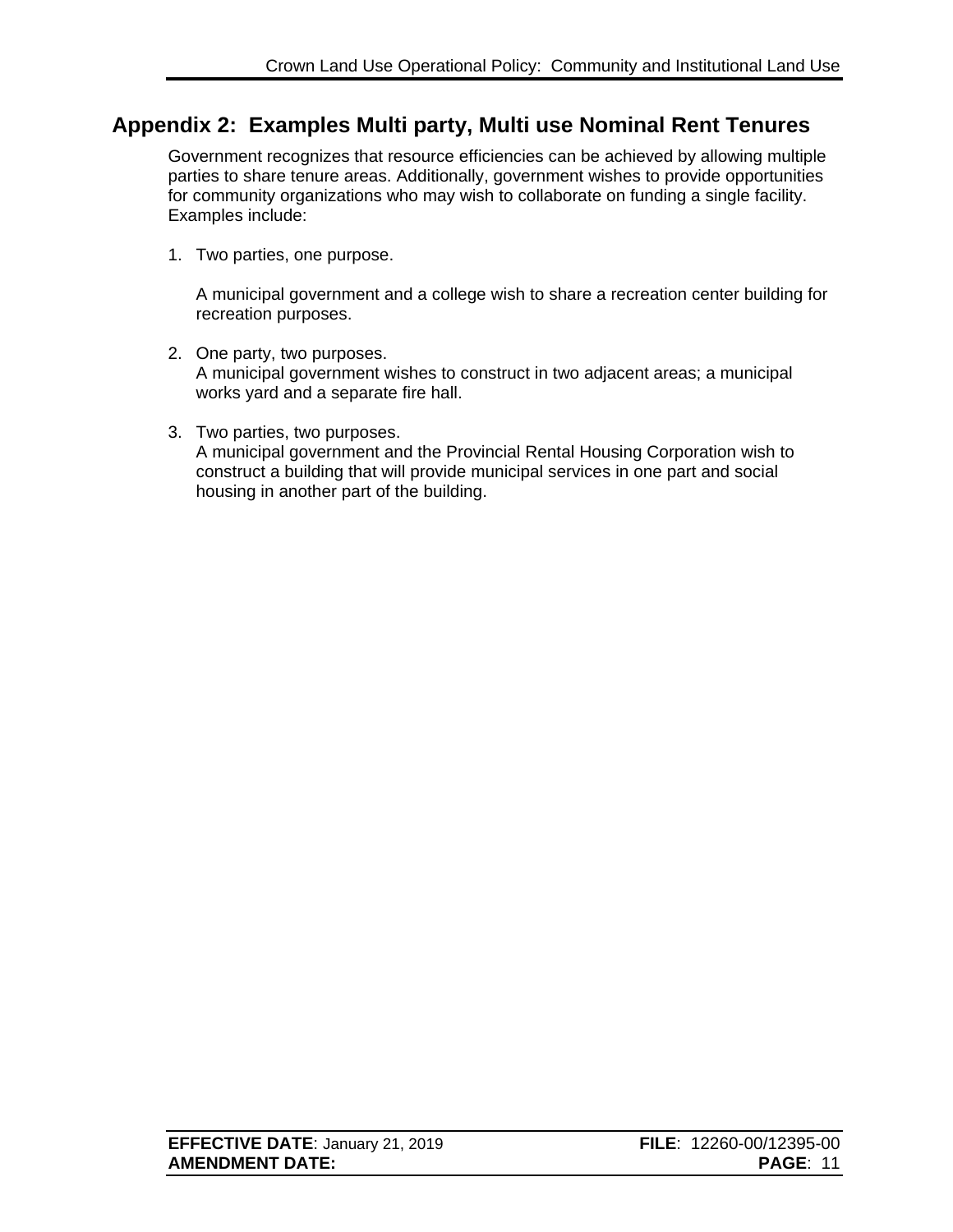## <span id="page-13-0"></span>**Appendix 2: Examples Multi party, Multi use Nominal Rent Tenures**

Government recognizes that resource efficiencies can be achieved by allowing multiple parties to share tenure areas. Additionally, government wishes to provide opportunities for community organizations who may wish to collaborate on funding a single facility. Examples include:

1. Two parties, one purpose.

A municipal government and a college wish to share a recreation center building for recreation purposes.

- 2. One party, two purposes. A municipal government wishes to construct in two adjacent areas; a municipal works yard and a separate fire hall.
- 3. Two parties, two purposes. A municipal government and the Provincial Rental Housing Corporation wish to construct a building that will provide municipal services in one part and social housing in another part of the building.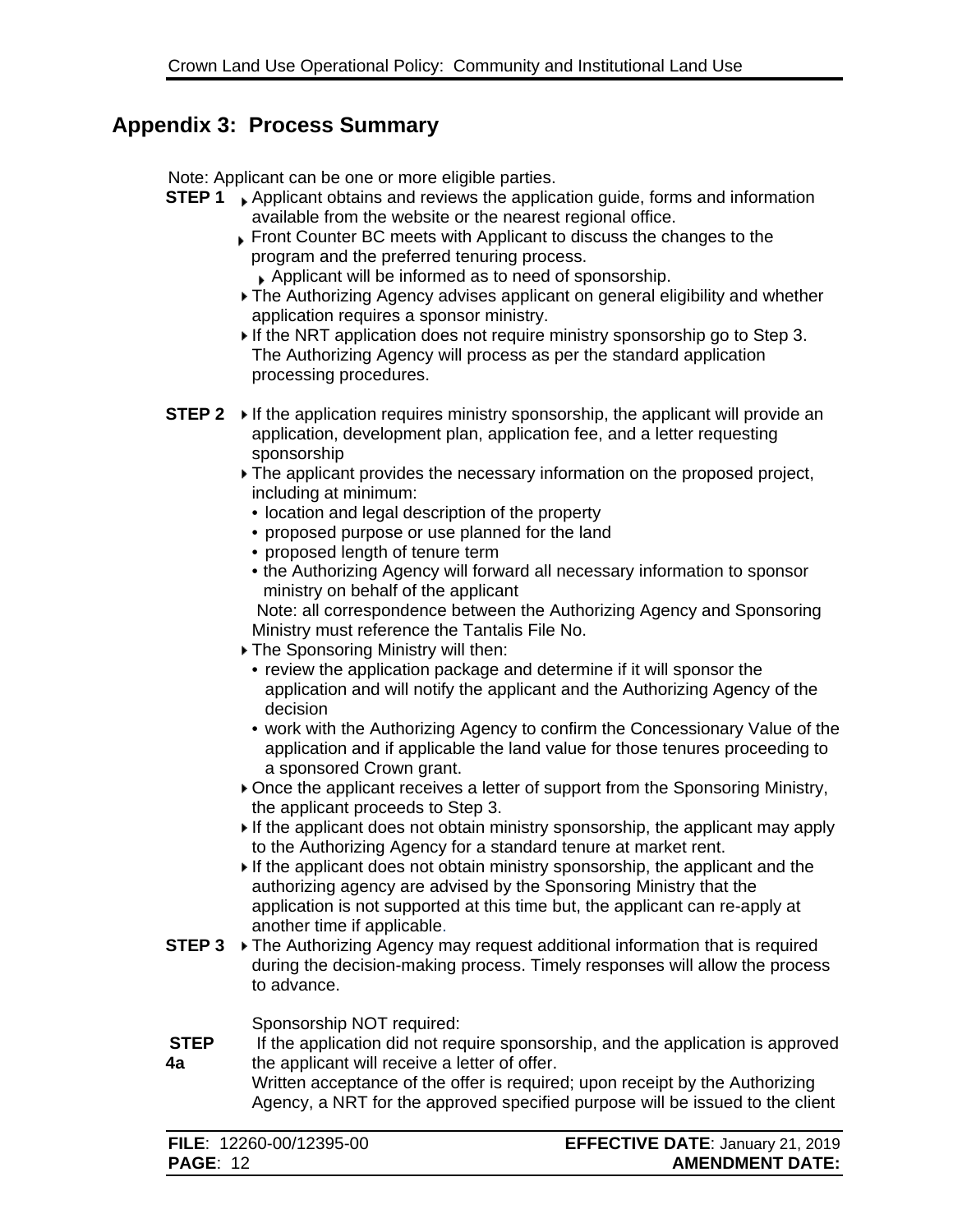### <span id="page-14-0"></span>**Appendix 3: Process Summary**

Note: Applicant can be one or more eligible parties.

- **STEP 1** Applicant obtains and reviews the application guide, forms and information available from the website or the [nearest regional office.](http://www.lwbc.bc.ca/07contact/regions.html)
	- Front Counter BC meets with Applicant to discuss the changes to the program and the preferred tenuring process.
		- Applicant will be informed as to need of sponsorship.
	- The Authorizing Agency advises applicant on general eligibility and whether application requires a sponsor ministry.
	- If the NRT application does not require ministry sponsorship go to Step 3. The Authorizing Agency will process as per the standard application processing procedures.
- **STEP 2**  $\triangleright$  If the application requires ministry sponsorship, the applicant will provide an application, development plan, application fee, and a letter requesting sponsorship
	- The applicant provides the necessary information on the proposed project, including at minimum:
		- location and legal description of the property
		- proposed purpose or use planned for the land
		- proposed length of tenure term
	- the Authorizing Agency will forward all necessary information to sponsor ministry on behalf of the applicant

Note: all correspondence between the Authorizing Agency and Sponsoring Ministry must reference the Tantalis File No.

- The Sponsoring Ministry will then:
- review the application package and determine if it will sponsor the application and will notify the applicant and the Authorizing Agency of the decision
- work with the Authorizing Agency to confirm the Concessionary Value of the application and if applicable the land value for those tenures proceeding to a sponsored Crown grant.
- Once the applicant receives a letter of support from the Sponsoring Ministry, the applicant proceeds to Step 3.
- If the applicant does not obtain ministry sponsorship, the applicant may apply to the Authorizing Agency for a [standard tenure](http://www.lwbc.bc.ca/02land/tenuring/index.html) at market rent.
- If the applicant does not obtain ministry sponsorship, the applicant and the authorizing agency are advised by the Sponsoring Ministry that the application is not supported at this time but, the applicant can re-apply at another time if applicable.
- **STEP 3**  $\triangleright$  The Authorizing Agency may request additional information that is required during the [decision-making process.](http://www.lwbc.bc.ca/02land/tenuring/community/guide/decision_making.html) Timely responses will allow the process to advance.

Sponsorship NOT required:

**STEP 4a** If the application did not require sponsorship, and the application is approved the applicant will receive a letter of offer. Written acceptance of the offer is required; upon receipt by the Authorizing

Agency, a NRT for the approved specified purpose will be issued to the client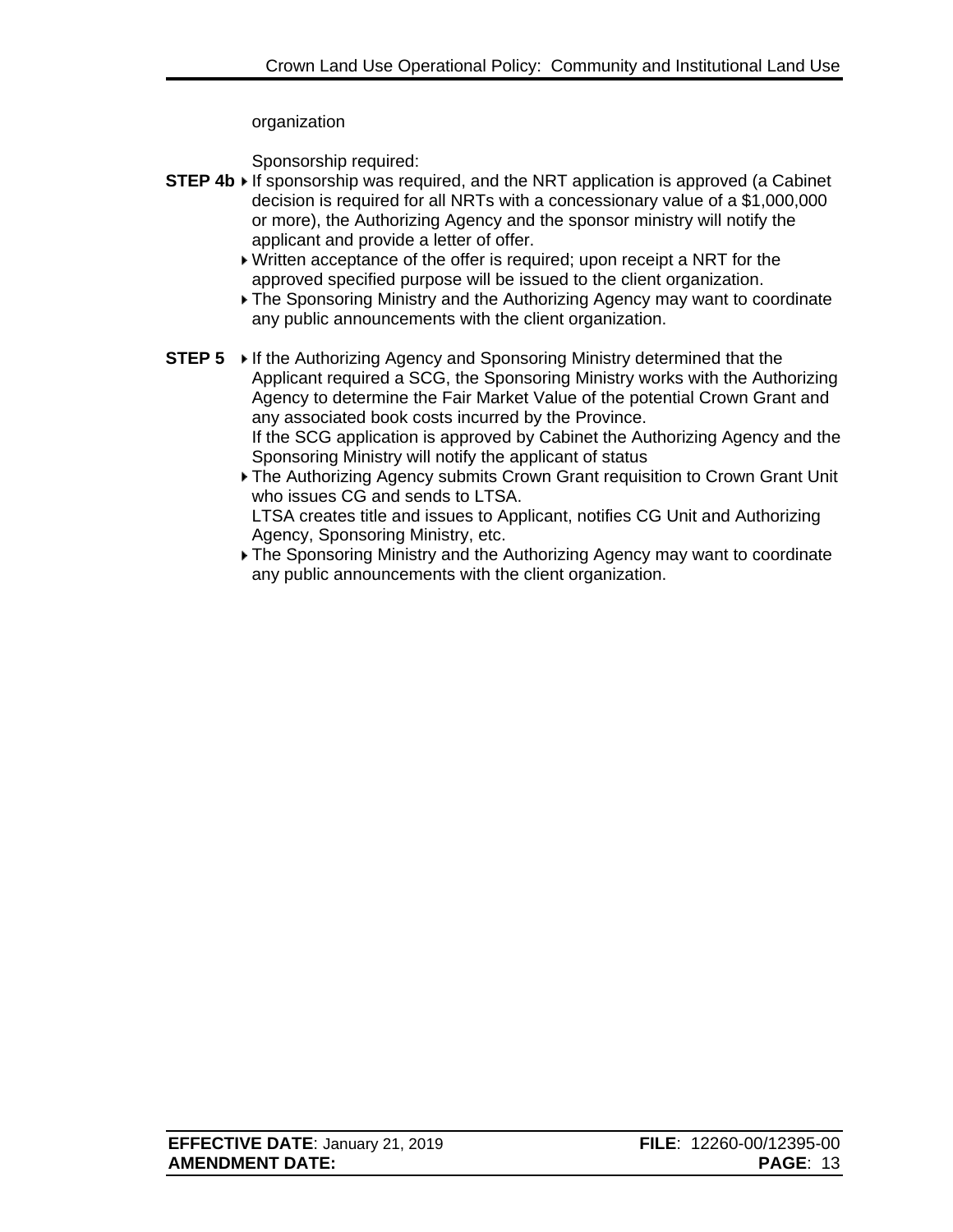#### organization

Sponsorship required:

- **STEP 4b** If sponsorship was required, and the NRT application is approved (a Cabinet decision is required for all NRTs with a concessionary value of a \$1,000,000 or more), the Authorizing Agency and the sponsor ministry will notify the applicant and provide a letter of offer.
	- Written acceptance of the offer is required; upon receipt a NRT for the approved specified purpose will be issued to the client organization.
	- The Sponsoring Ministry and the Authorizing Agency may want to coordinate any public announcements with the client organization.
- **STEP 5** ► If the Authorizing Agency and Sponsoring Ministry determined that the Applicant required a SCG, the Sponsoring Ministry works with the Authorizing Agency to determine the Fair Market Value of the potential Crown Grant and any associated book costs incurred by the Province. If the SCG application is approved by Cabinet the Authorizing Agency and the Sponsoring Ministry will notify the applicant of status
	- The Authorizing Agency submits Crown Grant requisition to Crown Grant Unit who issues CG and sends to LTSA.

LTSA creates title and issues to Applicant, notifies CG Unit and Authorizing Agency, Sponsoring Ministry, etc.

The Sponsoring Ministry and the Authorizing Agency may want to coordinate any public announcements with the client organization.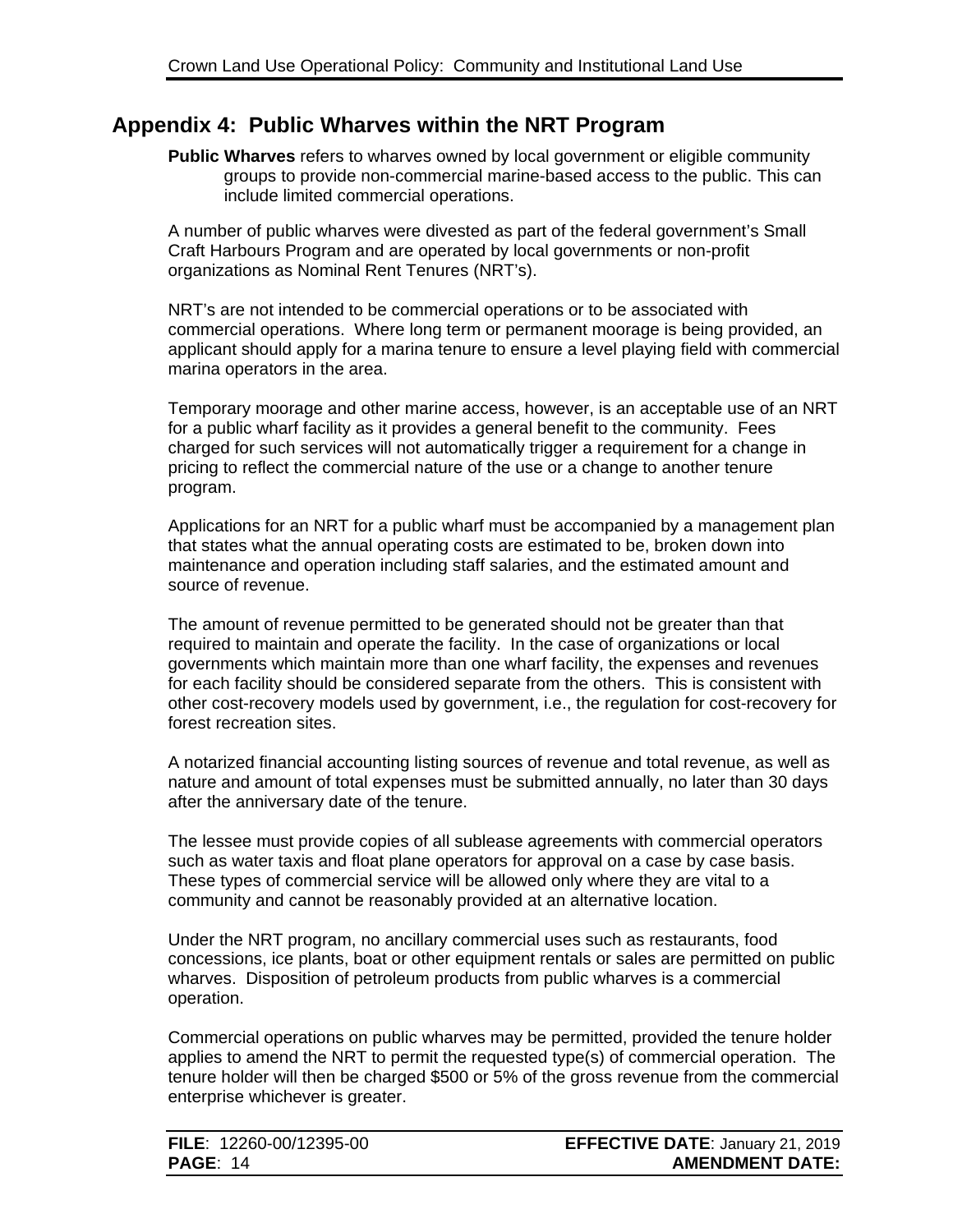### <span id="page-16-0"></span>**Appendix 4: Public Wharves within the NRT Program**

**Public Wharves** refers to wharves owned by local government or eligible community groups to provide non-commercial marine-based access to the public. This can include limited commercial operations.

A number of public wharves were divested as part of the federal government's Small Craft Harbours Program and are operated by local governments or non-profit organizations as Nominal Rent Tenures (NRT's).

NRT's are not intended to be commercial operations or to be associated with commercial operations. Where long term or permanent moorage is being provided, an applicant should apply for a marina tenure to ensure a level playing field with commercial marina operators in the area.

Temporary moorage and other marine access, however, is an acceptable use of an NRT for a public wharf facility as it provides a general benefit to the community. Fees charged for such services will not automatically trigger a requirement for a change in pricing to reflect the commercial nature of the use or a change to another tenure program.

Applications for an NRT for a public wharf must be accompanied by a management plan that states what the annual operating costs are estimated to be, broken down into maintenance and operation including staff salaries, and the estimated amount and source of revenue.

The amount of revenue permitted to be generated should not be greater than that required to maintain and operate the facility. In the case of organizations or local governments which maintain more than one wharf facility, the expenses and revenues for each facility should be considered separate from the others. This is consistent with other cost-recovery models used by government, i.e., the regulation for cost-recovery for forest recreation sites.

A notarized financial accounting listing sources of revenue and total revenue, as well as nature and amount of total expenses must be submitted annually, no later than 30 days after the anniversary date of the tenure.

The lessee must provide copies of all sublease agreements with commercial operators such as water taxis and float plane operators for approval on a case by case basis. These types of commercial service will be allowed only where they are vital to a community and cannot be reasonably provided at an alternative location.

Under the NRT program, no ancillary commercial uses such as restaurants, food concessions, ice plants, boat or other equipment rentals or sales are permitted on public wharves. Disposition of petroleum products from public wharves is a commercial operation.

Commercial operations on public wharves may be permitted, provided the tenure holder applies to amend the NRT to permit the requested type(s) of commercial operation. The tenure holder will then be charged \$500 or 5% of the gross revenue from the commercial enterprise whichever is greater.